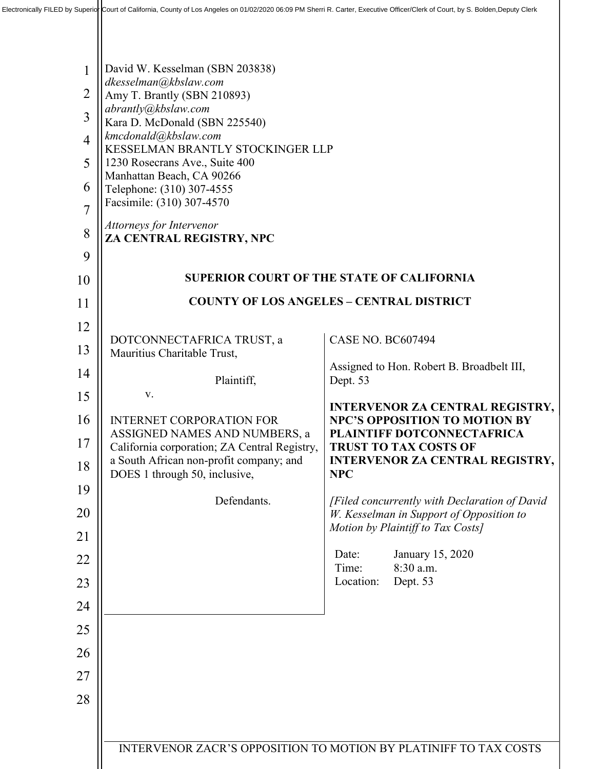| $\mathbf{1}$<br>$\overline{2}$<br>$\overline{3}$<br>$\overline{4}$<br>5<br>6<br>$\overline{7}$<br>8<br>9 | David W. Kesselman (SBN 203838)<br>dkesselman@kbslaw.com<br>Amy T. Brantly (SBN 210893)<br>abrantly@kbslaw.com<br>Kara D. McDonald (SBN 225540)<br>kmcdonald@kbslaw.com<br>KESSELMAN BRANTLY STOCKINGER LLP<br>1230 Rosecrans Ave., Suite 400<br>Manhattan Beach, CA 90266<br>Telephone: (310) 307-4555<br>Facsimile: (310) 307-4570<br>Attorneys for Intervenor<br>ZA CENTRAL REGISTRY, NPC |                                                                               |  |
|----------------------------------------------------------------------------------------------------------|----------------------------------------------------------------------------------------------------------------------------------------------------------------------------------------------------------------------------------------------------------------------------------------------------------------------------------------------------------------------------------------------|-------------------------------------------------------------------------------|--|
| 10                                                                                                       | <b>SUPERIOR COURT OF THE STATE OF CALIFORNIA</b>                                                                                                                                                                                                                                                                                                                                             |                                                                               |  |
| 11                                                                                                       | <b>COUNTY OF LOS ANGELES - CENTRAL DISTRICT</b>                                                                                                                                                                                                                                                                                                                                              |                                                                               |  |
| 12                                                                                                       | DOTCONNECTAFRICA TRUST, a                                                                                                                                                                                                                                                                                                                                                                    | <b>CASE NO. BC607494</b>                                                      |  |
| 13                                                                                                       | Mauritius Charitable Trust,                                                                                                                                                                                                                                                                                                                                                                  |                                                                               |  |
| 14                                                                                                       | Plaintiff,                                                                                                                                                                                                                                                                                                                                                                                   | Assigned to Hon. Robert B. Broadbelt III,<br>Dept. 53                         |  |
| 15                                                                                                       | V.                                                                                                                                                                                                                                                                                                                                                                                           | <b>INTERVENOR ZA CENTRAL REGISTRY,</b>                                        |  |
| 16                                                                                                       | <b>INTERNET CORPORATION FOR</b><br>ASSIGNED NAMES AND NUMBERS, a                                                                                                                                                                                                                                                                                                                             | <b>NPC'S OPPOSITION TO MOTION BY</b><br><b>PLAINTIFF DOTCONNECTAFRICA</b>     |  |
| 17                                                                                                       | California corporation; ZA Central Registry,<br>a South African non-profit company; and                                                                                                                                                                                                                                                                                                      | <b>TRUST TO TAX COSTS OF</b><br><b>INTERVENOR ZA CENTRAL REGISTRY,</b>        |  |
| 18                                                                                                       | DOES 1 through 50, inclusive,                                                                                                                                                                                                                                                                                                                                                                | <b>NPC</b>                                                                    |  |
| 19                                                                                                       | Defendants.                                                                                                                                                                                                                                                                                                                                                                                  | [Filed concurrently with Declaration of David                                 |  |
| 20                                                                                                       |                                                                                                                                                                                                                                                                                                                                                                                              | W. Kesselman in Support of Opposition to<br>Motion by Plaintiff to Tax Costs] |  |
| 21                                                                                                       |                                                                                                                                                                                                                                                                                                                                                                                              | January 15, 2020<br>Date:                                                     |  |
| 22                                                                                                       |                                                                                                                                                                                                                                                                                                                                                                                              | 8:30 a.m.<br>Time:                                                            |  |
| 23                                                                                                       |                                                                                                                                                                                                                                                                                                                                                                                              | Location:<br>Dept. 53                                                         |  |
| 24                                                                                                       |                                                                                                                                                                                                                                                                                                                                                                                              |                                                                               |  |
| 25                                                                                                       |                                                                                                                                                                                                                                                                                                                                                                                              |                                                                               |  |
| 26                                                                                                       |                                                                                                                                                                                                                                                                                                                                                                                              |                                                                               |  |
| 27                                                                                                       |                                                                                                                                                                                                                                                                                                                                                                                              |                                                                               |  |
| 28                                                                                                       |                                                                                                                                                                                                                                                                                                                                                                                              |                                                                               |  |
|                                                                                                          |                                                                                                                                                                                                                                                                                                                                                                                              |                                                                               |  |
|                                                                                                          | <b>INTERVENOR ZACR'S OPPOSITION TO MOTION BY PLATINIFF TO TAX COSTS</b>                                                                                                                                                                                                                                                                                                                      |                                                                               |  |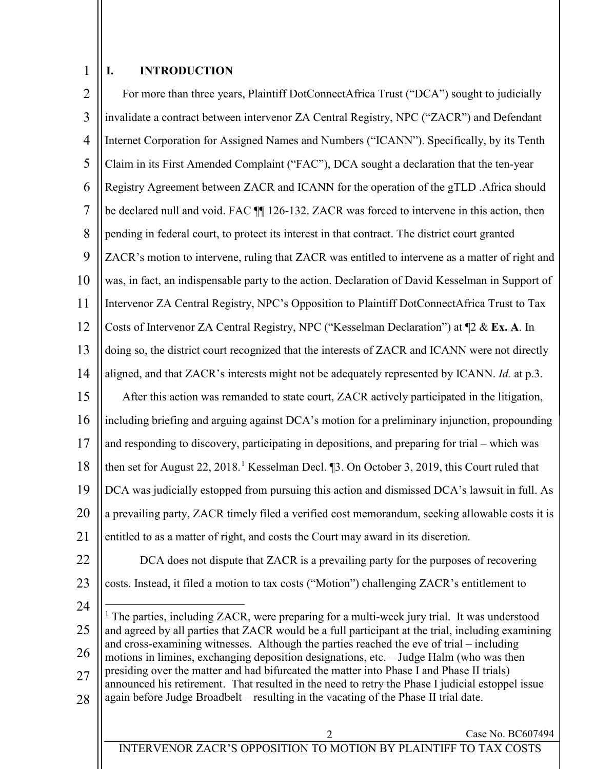#### 1 **I. INTRODUCTION**

| $\overline{2}$ | For more than three years, Plaintiff DotConnectAfrica Trust ("DCA") sought to judicially                                                                                                      |  |  |  |
|----------------|-----------------------------------------------------------------------------------------------------------------------------------------------------------------------------------------------|--|--|--|
| 3              | invalidate a contract between intervenor ZA Central Registry, NPC ("ZACR") and Defendant                                                                                                      |  |  |  |
| 4              | Internet Corporation for Assigned Names and Numbers ("ICANN"). Specifically, by its Tenth                                                                                                     |  |  |  |
| 5              | Claim in its First Amended Complaint ("FAC"), DCA sought a declaration that the ten-year                                                                                                      |  |  |  |
| 6              | Registry Agreement between ZACR and ICANN for the operation of the gTLD .Africa should                                                                                                        |  |  |  |
| $\overline{7}$ | be declared null and void. FAC 11 126-132. ZACR was forced to intervene in this action, then                                                                                                  |  |  |  |
| 8              | pending in federal court, to protect its interest in that contract. The district court granted                                                                                                |  |  |  |
| 9              | ZACR's motion to intervene, ruling that ZACR was entitled to intervene as a matter of right and                                                                                               |  |  |  |
| 10             | was, in fact, an indispensable party to the action. Declaration of David Kesselman in Support of                                                                                              |  |  |  |
| 11             | Intervenor ZA Central Registry, NPC's Opposition to Plaintiff DotConnectAfrica Trust to Tax                                                                                                   |  |  |  |
| 12             | Costs of Intervenor ZA Central Registry, NPC ("Kesselman Declaration") at 12 & Ex. A. In                                                                                                      |  |  |  |
| 13             | doing so, the district court recognized that the interests of ZACR and ICANN were not directly                                                                                                |  |  |  |
| 14             | aligned, and that ZACR's interests might not be adequately represented by ICANN. Id. at p.3.                                                                                                  |  |  |  |
| 15             | After this action was remanded to state court, ZACR actively participated in the litigation,                                                                                                  |  |  |  |
| 16             | including briefing and arguing against DCA's motion for a preliminary injunction, propounding                                                                                                 |  |  |  |
| 17             | and responding to discovery, participating in depositions, and preparing for trial - which was                                                                                                |  |  |  |
| 18             | then set for August 22, 2018. <sup>1</sup> Kesselman Decl. [3. On October 3, 2019, this Court ruled that                                                                                      |  |  |  |
| 19             | DCA was judicially estopped from pursuing this action and dismissed DCA's lawsuit in full. As                                                                                                 |  |  |  |
| 20             | a prevailing party, ZACR timely filed a verified cost memorandum, seeking allowable costs it is                                                                                               |  |  |  |
| 21             | entitled to as a matter of right, and costs the Court may award in its discretion.                                                                                                            |  |  |  |
| 22             | DCA does not dispute that ZACR is a prevailing party for the purposes of recovering                                                                                                           |  |  |  |
| 23             | costs. Instead, it filed a motion to tax costs ("Motion") challenging ZACR's entitlement to                                                                                                   |  |  |  |
| 24             | $1$ The parties, including ZACR, were preparing for a multi-week jury trial. It was understood                                                                                                |  |  |  |
| 25             | and agreed by all parties that ZACR would be a full participant at the trial, including examining                                                                                             |  |  |  |
| 26             | and cross-examining witnesses. Although the parties reached the eve of trial - including<br>motions in limines, exchanging deposition designations, etc. - Judge Halm (who was then           |  |  |  |
| 27             | presiding over the matter and had bifurcated the matter into Phase I and Phase II trials)<br>announced his retirement. That resulted in the need to retry the Phase I judicial estoppel issue |  |  |  |
| 28             | again before Judge Broadbelt – resulting in the vacating of the Phase II trial date.                                                                                                          |  |  |  |
|                | Case No. BC607494<br>2                                                                                                                                                                        |  |  |  |

<span id="page-1-0"></span>INTERVENOR ZACR'S OPPOSITION TO MOTION BY PLAINTIFF TO TAX COSTS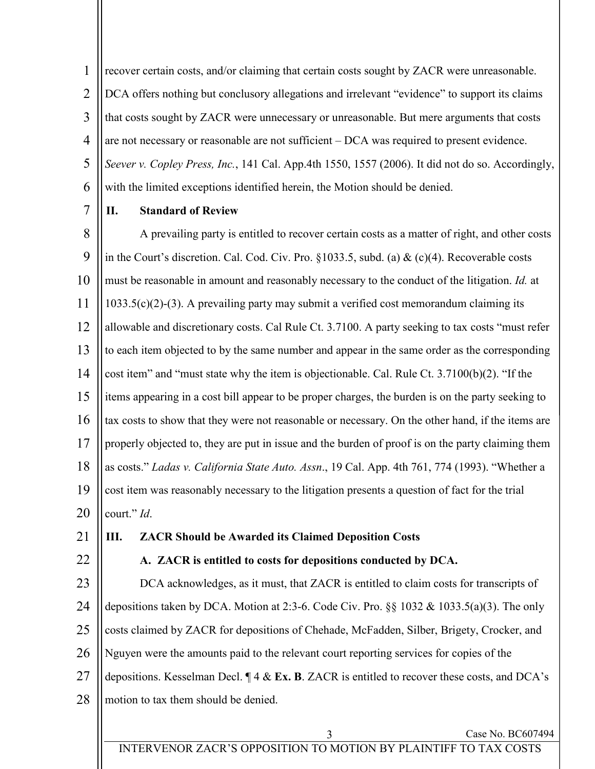1 2 3 4 5 6 recover certain costs, and/or claiming that certain costs sought by ZACR were unreasonable. DCA offers nothing but conclusory allegations and irrelevant "evidence" to support its claims that costs sought by ZACR were unnecessary or unreasonable. But mere arguments that costs are not necessary or reasonable are not sufficient – DCA was required to present evidence. *Seever v. Copley Press, Inc.*, 141 Cal. App.4th 1550, 1557 (2006). It did not do so. Accordingly, with the limited exceptions identified herein, the Motion should be denied.

7

## **II. Standard of Review**

8 9 10 11 12 13 14 15 16 17 18 19 20 A prevailing party is entitled to recover certain costs as a matter of right, and other costs in the Court's discretion. Cal. Cod. Civ. Pro.  $\S 1033.5$ , subd. (a) & (c)(4). Recoverable costs must be reasonable in amount and reasonably necessary to the conduct of the litigation. *Id.* at 1033.5(c)(2)-(3). A prevailing party may submit a verified cost memorandum claiming its allowable and discretionary costs. Cal Rule Ct. 3.7100. A party seeking to tax costs "must refer to each item objected to by the same number and appear in the same order as the corresponding cost item" and "must state why the item is objectionable. Cal. Rule Ct. 3.7100(b)(2). "If the items appearing in a cost bill appear to be proper charges, the burden is on the party seeking to tax costs to show that they were not reasonable or necessary. On the other hand, if the items are properly objected to, they are put in issue and the burden of proof is on the party claiming them as costs." *Ladas v. California State Auto. Assn*., 19 Cal. App. 4th 761, 774 (1993). "Whether a cost item was reasonably necessary to the litigation presents a question of fact for the trial court." *Id*.

- 21
- 22

# **III. ZACR Should be Awarded its Claimed Deposition Costs**

**A. ZACR is entitled to costs for depositions conducted by DCA.**

23 24 25 26 27 28 DCA acknowledges, as it must, that ZACR is entitled to claim costs for transcripts of depositions taken by DCA. Motion at 2:3-6. Code Civ. Pro. §§ 1032 & 1033.5(a)(3). The only costs claimed by ZACR for depositions of Chehade, McFadden, Silber, Brigety, Crocker, and Nguyen were the amounts paid to the relevant court reporting services for copies of the depositions. Kesselman Decl. ¶ 4 & **Ex. B**. ZACR is entitled to recover these costs, and DCA's motion to tax them should be denied.

#### Case No. BC607494

INTERVENOR ZACR'S OPPOSITION TO MOTION BY PLAINTIFF TO TAX COSTS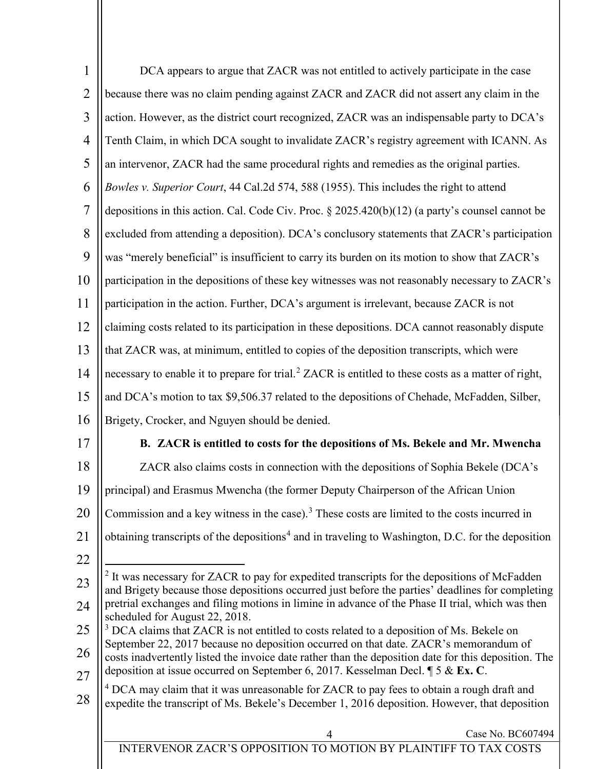<span id="page-3-2"></span><span id="page-3-1"></span><span id="page-3-0"></span>

| $\mathbf{1}$   | DCA appears to argue that ZACR was not entitled to actively participate in the case                                                                                                                         |  |  |
|----------------|-------------------------------------------------------------------------------------------------------------------------------------------------------------------------------------------------------------|--|--|
| $\overline{2}$ | because there was no claim pending against ZACR and ZACR did not assert any claim in the                                                                                                                    |  |  |
| $\overline{3}$ | action. However, as the district court recognized, ZACR was an indispensable party to DCA's                                                                                                                 |  |  |
| $\overline{4}$ | Tenth Claim, in which DCA sought to invalidate ZACR's registry agreement with ICANN. As                                                                                                                     |  |  |
| 5              | an intervenor, ZACR had the same procedural rights and remedies as the original parties.                                                                                                                    |  |  |
| 6              | Bowles v. Superior Court, 44 Cal.2d 574, 588 (1955). This includes the right to attend                                                                                                                      |  |  |
| $\overline{7}$ | depositions in this action. Cal. Code Civ. Proc. $\S 2025.420(b)(12)$ (a party's counsel cannot be                                                                                                          |  |  |
| 8              | excluded from attending a deposition). DCA's conclusory statements that ZACR's participation                                                                                                                |  |  |
| 9              | was "merely beneficial" is insufficient to carry its burden on its motion to show that ZACR's                                                                                                               |  |  |
| 10             | participation in the depositions of these key witnesses was not reasonably necessary to ZACR's                                                                                                              |  |  |
| 11             | participation in the action. Further, DCA's argument is irrelevant, because ZACR is not                                                                                                                     |  |  |
| 12             | claiming costs related to its participation in these depositions. DCA cannot reasonably dispute                                                                                                             |  |  |
| 13             | that ZACR was, at minimum, entitled to copies of the deposition transcripts, which were                                                                                                                     |  |  |
| 14             | necessary to enable it to prepare for trial. <sup>2</sup> ZACR is entitled to these costs as a matter of right,                                                                                             |  |  |
| 15             | and DCA's motion to tax \$9,506.37 related to the depositions of Chehade, McFadden, Silber,                                                                                                                 |  |  |
| 16             | Brigety, Crocker, and Nguyen should be denied.                                                                                                                                                              |  |  |
| 17             | B. ZACR is entitled to costs for the depositions of Ms. Bekele and Mr. Mwencha                                                                                                                              |  |  |
| 18             | ZACR also claims costs in connection with the depositions of Sophia Bekele (DCA's                                                                                                                           |  |  |
| 19             | principal) and Erasmus Mwencha (the former Deputy Chairperson of the African Union                                                                                                                          |  |  |
| 20             | Commission and a key witness in the case). <sup>3</sup> These costs are limited to the costs incurred in                                                                                                    |  |  |
| 21             | obtaining transcripts of the depositions <sup>4</sup> and in traveling to Washington, D.C. for the deposition                                                                                               |  |  |
| 22             |                                                                                                                                                                                                             |  |  |
| 23             | <sup>2</sup> It was necessary for ZACR to pay for expedited transcripts for the depositions of McFadden<br>and Brigety because those depositions occurred just before the parties' deadlines for completing |  |  |
| 24             | pretrial exchanges and filing motions in limine in advance of the Phase II trial, which was then                                                                                                            |  |  |
| 25             | scheduled for August 22, 2018.<br><sup>3</sup> DCA claims that ZACR is not entitled to costs related to a deposition of Ms. Bekele on                                                                       |  |  |
| 26             | September 22, 2017 because no deposition occurred on that date. ZACR's memorandum of<br>costs inadvertently listed the invoice date rather than the deposition date for this deposition. The                |  |  |
| 27             | deposition at issue occurred on September 6, 2017. Kesselman Decl. ¶ 5 & Ex. C.                                                                                                                             |  |  |
| 28             | <sup>4</sup> DCA may claim that it was unreasonable for ZACR to pay fees to obtain a rough draft and<br>expedite the transcript of Ms. Bekele's December 1, 2016 deposition. However, that deposition       |  |  |
|                |                                                                                                                                                                                                             |  |  |
|                | Case No. BC607494<br>4<br>INTERVENOR ZACR'S OPPOSITION TO MOTION BY PLAINTIFF TO TAX COSTS                                                                                                                  |  |  |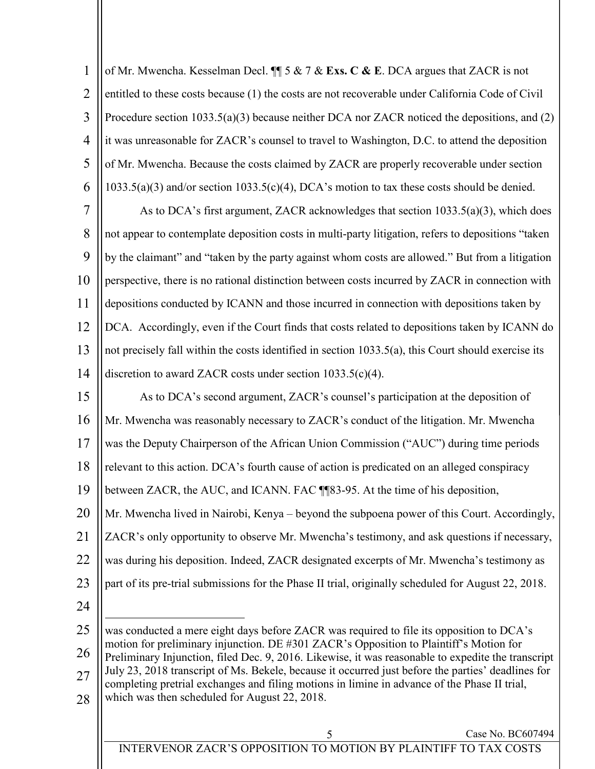| $\mathbf{1}$   | of Mr. Mwencha. Kesselman Decl. $\P$ 5 & 7 & Exs. C & E. DCA argues that ZACR is not                                                                                                                                                                |  |  |  |
|----------------|-----------------------------------------------------------------------------------------------------------------------------------------------------------------------------------------------------------------------------------------------------|--|--|--|
| $\overline{2}$ | entitled to these costs because (1) the costs are not recoverable under California Code of Civil                                                                                                                                                    |  |  |  |
| $\overline{3}$ | Procedure section $1033.5(a)(3)$ because neither DCA nor ZACR noticed the depositions, and (2)                                                                                                                                                      |  |  |  |
| $\overline{4}$ | it was unreasonable for ZACR's counsel to travel to Washington, D.C. to attend the deposition                                                                                                                                                       |  |  |  |
| 5              | of Mr. Mwencha. Because the costs claimed by ZACR are properly recoverable under section                                                                                                                                                            |  |  |  |
| 6              | $1033.5(a)(3)$ and/or section $1033.5(c)(4)$ , DCA's motion to tax these costs should be denied.                                                                                                                                                    |  |  |  |
| $\overline{7}$ | As to DCA's first argument, ZACR acknowledges that section 1033.5(a)(3), which does                                                                                                                                                                 |  |  |  |
| 8              | not appear to contemplate deposition costs in multi-party litigation, refers to depositions "taken                                                                                                                                                  |  |  |  |
| 9              | by the claimant" and "taken by the party against whom costs are allowed." But from a litigation                                                                                                                                                     |  |  |  |
| 10             | perspective, there is no rational distinction between costs incurred by ZACR in connection with                                                                                                                                                     |  |  |  |
| 11             | depositions conducted by ICANN and those incurred in connection with depositions taken by                                                                                                                                                           |  |  |  |
| 12             | DCA. Accordingly, even if the Court finds that costs related to depositions taken by ICANN do                                                                                                                                                       |  |  |  |
| 13             | not precisely fall within the costs identified in section 1033.5(a), this Court should exercise its                                                                                                                                                 |  |  |  |
| 14             | discretion to award ZACR costs under section $1033.5(c)(4)$ .                                                                                                                                                                                       |  |  |  |
| 15             | As to DCA's second argument, ZACR's counsel's participation at the deposition of                                                                                                                                                                    |  |  |  |
| 16             | Mr. Mwencha was reasonably necessary to ZACR's conduct of the litigation. Mr. Mwencha                                                                                                                                                               |  |  |  |
| 17             | was the Deputy Chairperson of the African Union Commission ("AUC") during time periods                                                                                                                                                              |  |  |  |
| 18             | relevant to this action. DCA's fourth cause of action is predicated on an alleged conspiracy                                                                                                                                                        |  |  |  |
| 19             | between ZACR, the AUC, and ICANN. FAC ¶¶83-95. At the time of his deposition,                                                                                                                                                                       |  |  |  |
| 20             | Mr. Mwencha lived in Nairobi, Kenya – beyond the subpoena power of this Court. Accordingly,                                                                                                                                                         |  |  |  |
| 21             | ZACR's only opportunity to observe Mr. Mwencha's testimony, and ask questions if necessary,                                                                                                                                                         |  |  |  |
| 22             | was during his deposition. Indeed, ZACR designated excerpts of Mr. Mwencha's testimony as                                                                                                                                                           |  |  |  |
| 23             | part of its pre-trial submissions for the Phase II trial, originally scheduled for August 22, 2018.                                                                                                                                                 |  |  |  |
| 24             |                                                                                                                                                                                                                                                     |  |  |  |
| 25             | was conducted a mere eight days before ZACR was required to file its opposition to DCA's                                                                                                                                                            |  |  |  |
| 26             | motion for preliminary injunction. DE #301 ZACR's Opposition to Plaintiff's Motion for<br>Preliminary Injunction, filed Dec. 9, 2016. Likewise, it was reasonable to expedite the transcript                                                        |  |  |  |
| 27             | July 23, 2018 transcript of Ms. Bekele, because it occurred just before the parties' deadlines for<br>completing pretrial exchanges and filing motions in limine in advance of the Phase II trial,<br>which was then scheduled for August 22, 2018. |  |  |  |
| 28             |                                                                                                                                                                                                                                                     |  |  |  |
|                |                                                                                                                                                                                                                                                     |  |  |  |
|                | Case No. BC607494<br>INTERVENOR ZACR'S OPPOSITION TO MOTION BY PLAINTIFF TO TAX COSTS                                                                                                                                                               |  |  |  |
|                |                                                                                                                                                                                                                                                     |  |  |  |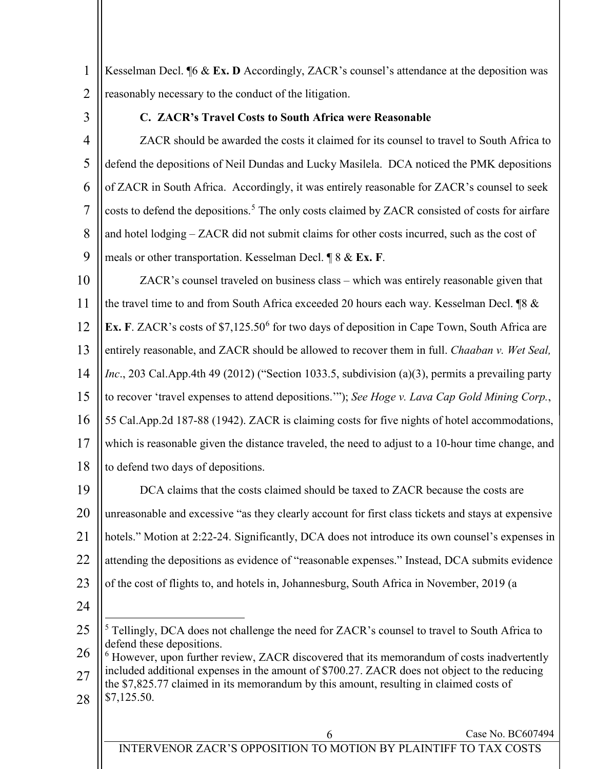1 2 Kesselman Decl. ¶6 & **Ex. D** Accordingly, ZACR's counsel's attendance at the deposition was reasonably necessary to the conduct of the litigation.

3

#### **C. ZACR's Travel Costs to South Africa were Reasonable**

4 5 6 7 8 9 ZACR should be awarded the costs it claimed for its counsel to travel to South Africa to defend the depositions of Neil Dundas and Lucky Masilela. DCA noticed the PMK depositions of ZACR in South Africa. Accordingly, it was entirely reasonable for ZACR's counsel to seek costs to defend the depositions. [5](#page-5-0) The only costs claimed by ZACR consisted of costs for airfare and hotel lodging – ZACR did not submit claims for other costs incurred, such as the cost of meals or other transportation. Kesselman Decl. ¶ 8 & **Ex. F**.

10 11 12 13 14 15 16 17 18 ZACR's counsel traveled on business class – which was entirely reasonable given that the travel time to and from South Africa exceeded 20 hours each way. Kesselman Decl. ¶8 & **Ex. F**. ZACR's costs of \$7,125.50<sup>[6](#page-5-1)</sup> for two days of deposition in Cape Town, South Africa are entirely reasonable, and ZACR should be allowed to recover them in full. *Chaaban v. Wet Seal, Inc*., 203 Cal.App.4th 49 (2012) ("Section 1033.5, subdivision (a)(3), permits a prevailing party to recover 'travel expenses to attend depositions.'"); *See Hoge v. Lava Cap Gold Mining Corp.*, 55 Cal.App.2d 187-88 (1942). ZACR is claiming costs for five nights of hotel accommodations, which is reasonable given the distance traveled, the need to adjust to a 10-hour time change, and to defend two days of depositions.

19 20 21 22 23 DCA claims that the costs claimed should be taxed to ZACR because the costs are unreasonable and excessive "as they clearly account for first class tickets and stays at expensive hotels." Motion at 2:22-24. Significantly, DCA does not introduce its own counsel's expenses in attending the depositions as evidence of "reasonable expenses." Instead, DCA submits evidence of the cost of flights to, and hotels in, Johannesburg, South Africa in November, 2019 (a

- 24
- <span id="page-5-0"></span>25 <sup>5</sup> Tellingly, DCA does not challenge the need for ZACR's counsel to travel to South Africa to defend these depositions.
- <span id="page-5-1"></span>26 27  $6$  However, upon further review, ZACR discovered that its memorandum of costs inadvertently included additional expenses in the amount of \$700.27. ZACR does not object to the reducing the \$7,825.77 claimed in its memorandum by this amount, resulting in claimed costs of
- 28 \$7,125.50.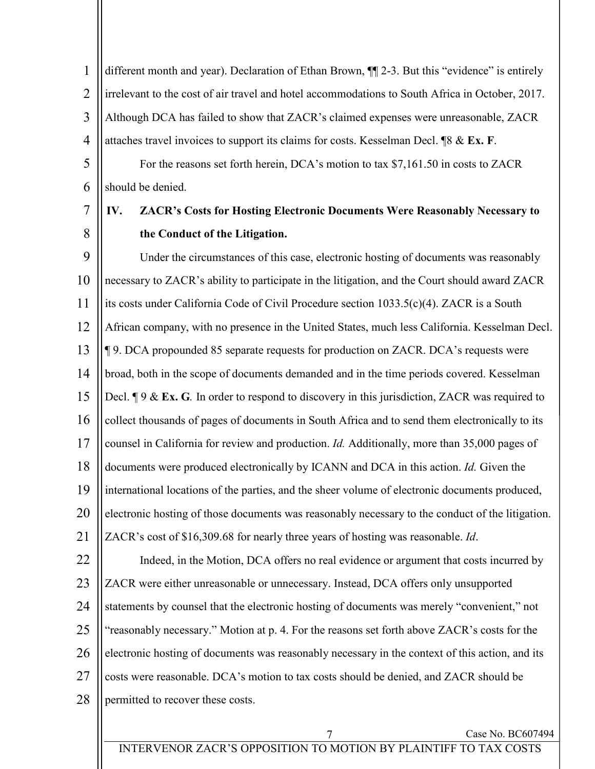1 2 3 4 5 different month and year). Declaration of Ethan Brown, ¶¶ 2-3. But this "evidence" is entirely irrelevant to the cost of air travel and hotel accommodations to South Africa in October, 2017. Although DCA has failed to show that ZACR's claimed expenses were unreasonable, ZACR attaches travel invoices to support its claims for costs. Kesselman Decl. ¶8 & **Ex. F**. For the reasons set forth herein, DCA's motion to tax \$7,161.50 in costs to ZACR

6 should be denied.

#### 7 8 **IV. ZACR's Costs for Hosting Electronic Documents Were Reasonably Necessary to the Conduct of the Litigation.**

9 10 11 12 13 14 15 16 17 18 19 20 21 22 23 24 25 26 Under the circumstances of this case, electronic hosting of documents was reasonably necessary to ZACR's ability to participate in the litigation, and the Court should award ZACR its costs under California Code of Civil Procedure section 1033.5(c)(4). ZACR is a South African company, with no presence in the United States, much less California. Kesselman Decl. ¶ 9. DCA propounded 85 separate requests for production on ZACR. DCA's requests were broad, both in the scope of documents demanded and in the time periods covered. Kesselman Decl. ¶ 9 & **Ex. G***.* In order to respond to discovery in this jurisdiction, ZACR was required to collect thousands of pages of documents in South Africa and to send them electronically to its counsel in California for review and production. *Id.* Additionally, more than 35,000 pages of documents were produced electronically by ICANN and DCA in this action. *Id.* Given the international locations of the parties, and the sheer volume of electronic documents produced, electronic hosting of those documents was reasonably necessary to the conduct of the litigation. ZACR's cost of \$16,309.68 for nearly three years of hosting was reasonable. *Id*. Indeed, in the Motion, DCA offers no real evidence or argument that costs incurred by ZACR were either unreasonable or unnecessary. Instead, DCA offers only unsupported statements by counsel that the electronic hosting of documents was merely "convenient," not "reasonably necessary." Motion at p. 4. For the reasons set forth above ZACR's costs for the electronic hosting of documents was reasonably necessary in the context of this action, and its

27 28 costs were reasonable. DCA's motion to tax costs should be denied, and ZACR should be permitted to recover these costs.

## 7 Case No. BC607494

INTERVENOR ZACR'S OPPOSITION TO MOTION BY PLAINTIFF TO TAX COSTS